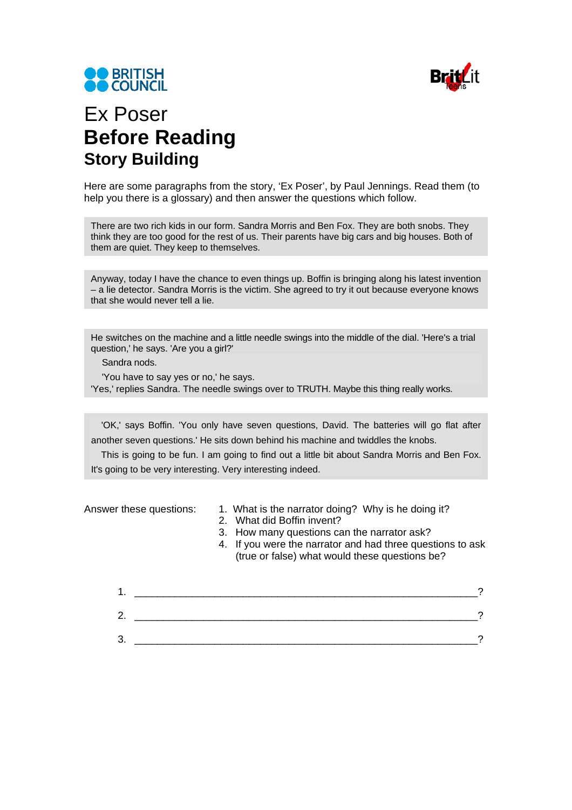



## Ex Poser **Before Reading Story Building**

Here are some paragraphs from the story, 'Ex Poser', by Paul Jennings. Read them (to help you there is a glossary) and then answer the questions which follow.

There are two rich kids in our form. Sandra Morris and Ben Fox. They are both snobs. They think they are too good for the rest of us. Their parents have big cars and big houses. Both of them are quiet. They keep to themselves.

Anyway, today I have the chance to even things up. Boffin is bringing along his latest invention – a lie detector. Sandra Morris is the victim. She agreed to try it out because everyone knows that she would never tell a lie.

He switches on the machine and a little needle swings into the middle of the dial. 'Here's a trial question,' he says. 'Are you a girl?'

Sandra nods.

'You have to say yes or no,' he says. 'Yes,' replies Sandra. The needle swings over to TRUTH. Maybe this thing really works.

'OK,' says Boffin. 'You only have seven questions, David. The batteries will go flat after another seven questions.' He sits down behind his machine and twiddles the knobs.

This is going to be fun. I am going to find out a little bit about Sandra Morris and Ben Fox. It's going to be very interesting. Very interesting indeed.

- Answer these questions: 1. What is the narrator doing? Why is he doing it?
	- 2. What did Boffin invent?
	- 3. How many questions can the narrator ask?
	- 4. If you were the narrator and had three questions to ask (true or false) what would these questions be?